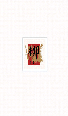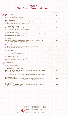### 廚師推介 Chef's Seasonal Recommended Menus

|   |                                                                                                                                            | <b>Per Portion</b> |
|---|--------------------------------------------------------------------------------------------------------------------------------------------|--------------------|
| P | 鮮果拔絲黑豚肉<br>Tender Kurobuta pork neck tossed in a sweet and sour glaze and candied caramel floss<br>คอหมูคุโรบูตะเนื้อนุ่มผัดซอสเปรี้ยวหวาน | 340                |
|   | 蜜椒紫薯安格斯牛粒                                                                                                                                  |                    |
|   | Sautéed Angus beef with purple sweet potato in a black pepper honey sauce<br>ผัดเนื้อแองกัสและมันม่วงหวานในซอสน้ำผึ้งพริกไทยดำ             | 620                |
|   | 芝士金湯蝦球自制海苔豆腐                                                                                                                               |                    |
|   | Tiger prawns with crispy homemade seaweed bean curd in a rich pumpkin sauce<br>กุ้งลายเสื้อผัดเต้าหู้สาหร่ายโฮมเมดในซอสฟักทองเข้มข้น       | 320                |
|   | 原魚渴竹笙桃膠浸娃娃菜                                                                                                                                |                    |
|   | Braised peach gum, bamboo pith and baby cabbage in an aromatic fish bouillon<br>พืชกัม เยื่อไผ่ และผักหางหงส์ตุ๋นในซุปปลา                  | 240                |
|   | 滬香賽螃蟹                                                                                                                                      |                    |
|   | Shanghai style stir-fried crab meat and egg white with crumbled conpoy                                                                     | 480                |
|   | ้เนื้อปูและไข่ขาวผัดสไตล์เซี่ยงไฮ้โรยหน้าด้วยกังป๋วย                                                                                       |                    |
|   | 脆盞香芒蝦球                                                                                                                                     |                    |
|   | Crisp fried prawns in golden baked puff pastry with mango sauce<br>พายชั้น ไส้กุ้งทอดกรอบ ราดซอสมะม่วง                                     | 480                |
|   | 金瑤桂花炒蟹肉<br>Fluffy scrambled egg with dried conpoy and flaked white crab meat with spring onions                                            | 480                |
|   | ไข่ข้นเนื้อปู ใส่กังป๋วยอบแห้งและต้นหอม                                                                                                    |                    |
|   | 蟲草花野菌紅棗蒸白雪魚                                                                                                                                |                    |
|   | Steamed snow fish with wild mushrooms, red dates and cordycep flowers<br>ปลาหิมะนึ่งเห็ดรวม พุทราจีน และดอกถั่งเช่า                        | 880                |
|   | 柚子醬燒一口骨                                                                                                                                    |                    |
| P | Deep fried, boneless pork spare ribs in a sweet honey citrus glazed                                                                        | 280                |
|   | ซี่โครงหมูทอดซอสส้มผสมน้ำผึ้ง                                                                                                              |                    |
|   | 原個椰皇花膠燉三寶 (提前三小時預訂)                                                                                                                        |                    |
|   | Double boiled fish maw soup with dried scallop, sea conch and bamboo pitch<br>in a toasted young coconut                                   | 400                |
|   | *Please reserve in advance.<br>ซุปกระเพาะปลาตุ๋น กังป๋วย หอยสังข์ และเยื่อไผ่ในลูกมะพร้าวอ่อนเผา *โปรดสั่งจองล่วงหน้า                      |                    |
|   | 黑蒜海螺瑤柱燉花膠                                                                                                                                  |                    |
|   | Double boiled fish maw soup with sea conch, dried scallop and black garlic<br>ซุปกระเพาะปลาตุ๋น พร้อมหอยสังข์ หอยเชลล์อบแห้ง และกระเทียมดำ | 280                |
|   | 芝士南瓜汁海鮮窩                                                                                                                                   |                    |
|   | Chinese aromatic "Hot Pot" with seared seafood in flavorful pumpkin sauce<br>รวมมิตรทะเลในหม้อร้อน ราดซอสฟักทอง                            | 520                |
|   |                                                                                                                                            |                    |





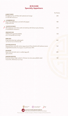## 前菜多滋味 Specialty Appetizers

| 金綢香芒海鮮筒                                                                                                                                                            | <b>Per Portion</b> |
|--------------------------------------------------------------------------------------------------------------------------------------------------------------------|--------------------|
| Shredded spring roll filled with seafood and mango<br>เปาะเปี๊ยะไส้ทะเลและมะม่วง                                                                                   | 240                |
| 七味椒鹽香脆豆腐<br>Deep fried puffed bean curd with chili pepper<br>เต้าหู้ทอดพริกเกลือ                                                                                   | 180                |
| 川味薄荷涼拌海螺片<br>Marinated sea conch slices with mint leaf top with Sichuan spicy dressing<br>ยำหอยสังข์สไลด์ราดซอสเสฉวน                                               | 210                |
| 甜酸海蜇青瓜簾<br>Stuffed with marinated jellyfish<br>แตงกวาม้วนสอดไส้ยำแมงกระพรุน                                                                                        | 120                |
| 椒鹽白飯魚<br>Crisp fried white bait, salted garlic<br>ปลาเงินทอดกรอบกระเทียมโรยเกลือ                                                                                   | 260                |
| 涼拌肉鬆皮蛋滑豆腐<br>Steamed bean curd with century egg and pork floss drizzled with barbecue sauce<br>เต้าหู้นึ่งเสิร์ฟพร้อมไข่เยี่ยวม้าและหมูหยอง ปรุงรสด้วยซอสบาร์บีคิว | 160                |
| 黃金軟殼蟹<br>Deep fried soft shell crab in a salted egg yolk<br>ปนิ่มทอดไข่เค็ม                                                                                        | 280                |
| 香鹵醉雞併麻香海蜇<br>Poached chicken thigh soaked in Chinese rice wine spicy jellyfish salad<br>ไก่แช่เหล้าจีน เสิร์ฟพร้อมยำแมงกะพรุน                                      | 180                |

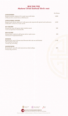#### 鮑魚/海味/燕窩 Abalone/ Dried Seafood/ Bird's nest

| 紅燒澳洲兩頭鮑魚                                                                                                                                             | <b>Per Portion</b> |
|------------------------------------------------------------------------------------------------------------------------------------------------------|--------------------|
| Braised Australian abalone (2) in oyster sauce with kailan<br>เป๋าฮื้อออสเตรเลีย อบซอสน้ำมันหอย เสิร์ฟพร้อมคะน้า                                     | 2,800              |
| 紅燒南非四頭鮑魚三疊伴鵝掌<br>Braised South African abalone (4) with goose web, layered with spinach and mushrooms<br>เป๋าฮื้อแอฟริกา อบกับขาห่าน ปวยเล้ง และเห็ด | 2,250              |
| 鮑汁花膠扣鵝掌<br>Braised fish maw with goose web in abalone sauce<br>กระเพาะปลาต๋นพร้อมขาห่านในซอสเป๋าฮื้อ                                                 | 440                |
| 蠔皇冬菰扣鵝掌<br>Braised black mushroom with goose web an oyster sauce<br>เห็ดหอมและขาห่านตุ๋นในซอสน้ำมันหอย                                               | 320                |
| 蟹黃燴燕窩<br>Braised bird's nest in Chinese stock flavored with crab roe and finished<br>with poached crab meat<br>รังนกตุ๋น ไข่ปู โรยด้วยเนื้อปู        | 1,120              |
| 瑤柱鮮蟹肉燴燕窩<br>Braised bird's nest with crab meat and sun-dried scallops<br>รังนกตุ๋น เนื้อปู และกังป๋วย                                                | 840                |

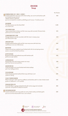

|                                                                                                                                                              | <b>Per Portion</b> |
|--------------------------------------------------------------------------------------------------------------------------------------------------------------|--------------------|
| 原個椰皇花膠燉三寶(提前三小時預訂)<br>Double boiled fish maw soup with dried scallop, sea conch and bamboo pith<br>in a toasted young coconut<br>*Please reserve in advance. | 400                |
| ี่ซุปกระเพาะปลาตุ๋นกังป๋วย หอยสังข์ และเยื่อไผ่ในลูกมะพร้าวอ่อนเผา *โปรดสั่งจองล่วงหน้า                                                                      |                    |
| 清宮佛跳牆<br>The Monk jumps over the Great Wall<br>พระกระโดดกำแพง                                                                                                | 1,280              |
| 淮杞花膠燉竹絲雞<br>Twice cooked black chicken and fish maw soup with aromatic Chinese herbs<br>ซุปไก่ดำและกระเพาะปลาตุ๋นยาจีน                                       | 320                |
| 紅燒瑤柱鮑魚花膠三絲羹<br>Braised abalone and sea cucumber with fish maw in conpoy soup<br>ซุปเป๋าฮื้อและปลิงทะเลตุ๋น                                                   | 420                |
| 清燉花膠竹笙湯<br>Double boiled bamboo pith and fish maw soup serve with bok choy<br>ซุปเยื่อไผ่และกระเพาะปลา ใส่ผักบ๊อกฉ่อย                                        | 440                |
| 酸辣海鲜羹<br>Classic hot and sour seafood soup finished with chili oil and spring onions<br>ซุปเสฉวน ปรุงรสด้วยน้ำมันพริกและต้นหอม                               | 280                |
| 金湯竹笙海皇羹<br>Braised pumpkin and seafood soup with bamboo pith<br>ซุปฟักทองทะเลตุ๋น ใส่เยื่อไผ่                                                                | 280                |
| 金粟瑤柱魚肚羹<br>Braised fish maw and conpoy sweet corn soup<br>ซุปข้าวโพด ใส่กระเพาะปลาและกังป๋วย                                                                 | 280                |
| 瑤柱蟹肉粟米羹<br>Crab and sweet corn soup finished with dried scallops<br>ซุปข้าวโพด ใส่เนื้อปูและกังป๋วย                                                          | 420                |
| 竹笙豆腐海皇羹<br>Chef selected assorted seafood thick soup with bean curd<br>ซุปขันทะเล ใส่เต้าหู้                                                                 | 280                |
| 竹笙杞子鮮椰青肉燉野菌<br>Wild mushrooms, fresh coconut, wolfberry and bamboo pith in a clear chicken stock<br>ซุปเห็ดรวม ใส่เนื้อมะพร้าว เก๋ากี้ และเยื่อไผ่           | 240                |
| 芫茜皮蛋白雪魚片湯<br>Snow fish fillet in a ginger infused broth with century egg and coriander<br>ซุปปลาหิมะ ในน้ำซุปเคียวขิง ใส่ไข่เยี่ยวม้าและผักชื่               | 480                |
| 黑蒜海螺瑤柱燉花膠<br>Double boiled fish maw soup with sea conch, dried scallop and black garlic<br>ซุปกระเพาะปลาเคี่ยวพร้อมหอยสังข์ กังป๋วย และกระเทียมดำ            | 280                |

W Signature dish อาหารแนะนำ ltem contains pork<br>มีส่วนผสมของเนื้อหมู 43 如您有任何食物过敏请告知服务员<br>Please notify service attendant if you suffer from food allergies.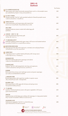#### 海鮮小炒 Seafood

|   |                                                                                                                                                          | <b>Per Portion</b> |
|---|----------------------------------------------------------------------------------------------------------------------------------------------------------|--------------------|
|   | 芝士金湯蝦球自制海苔豆腐<br>Tiger prawns with crispy homemade seaweed bean curd in a rich pumpkin sauce<br>กุ้งลายเสื้อเสิร์ฟพร้อมเต้าหู้สาหร่ายโฮมเมดในซอสข้นฟักทอง | 320                |
|   | ■■ 芝士南瓜汁海鮮窩<br>Chinese aromatic "Hot Pot" with seareded seafood in flaverful pumpkin sauce<br>รวมมิตรทะเลในหม้อร้อน ราดซอสฟักทอง                         | 520                |
|   | 炸蝦球什果沙律<br>Crisp fried prawns and mayonnaise with tropical fruit<br>กังทอดกรอบราดซอสครีมสลัด พร้อมผลไม้เมืองร้อนนานาชนิด                                 | 640                |
|   | 黃金大蝦球<br>Sautéed Andaman prawns coated with salted egg yolk<br>ก้งผัดไข่เค็ม                                                                             | 620                |
|   | 白雪魚柳 (清蒸/炸/焗)<br>Snow fish (steamed/deep-fried/grill)<br>ปลาหิมะ (นึ่ง/ ทอด/ ย่าง)                                                                       | 000                |
|   | XO 醬琥珀蜜豆炒帶子<br>Hokkaido scallops sautéed with sugar snaps in XO sauce and toasted walnuts<br>หอยเซลล์ฮอกไกโดผัดถั่วหวาน ซอสเอ็กซ์โอและวอลนัทอบ           | 860                |
|   | 蟲草花野菌紅棗蒸白雪魚<br>Steamed snow fish with wild mushrooms, red dates and cordyceps flowers<br>ปลาหิมะนึ่งเห็ดรวม พุทราจีน และดอกถั่งเช่า                      | 880                |
| y | 金盞香芒蝦球<br>Crisp fried prawns in golden baked puff pastry with mango sauce<br>พายชั้น ไส้กุ้งทอดกรอบ ราดซอสมะม่วง                                         | 480                |
|   | 琥珀雀巢海中寶<br>Wok fried seafood with green asparagus and walnut<br>รวมมิตรทะเล ผัดหน่อไม้ฝรั่งและวอลนัท                                                     | 580                |
|   | 紅燒海鮮豆腐煲<br>Seafood "Hot Pot" with braised tofu, bok choy and capsicums<br>รวมมิตรทะเลในหม้อร้อน ใส่เต้าหู้ ผักบ๊อกฉ่อย และพริกหยวก                       | 620                |
|   | 彩蝶蟠龍<br>Wok tossed slices of sea conch with tiger prawns and green asparagus<br>ก้งลายเสื้อและหอยสังข์สไลด์ผัดกับหน่อไม้ฝรั่ง                            | 620                |
|   | 上湯焗虎蝦天使麵<br>Braised tiger prawns with angel hair noodles in superior sauce<br>เส้นแองเจิลแฮร์กับกุ้งลายเสือ ราดซอสสุดเข้มข้น                             | 880                |
|   | 黑松露蝦仁炒蛋<br>Wok tossed black truffle eggs with shrimps and spring onions<br>ไข่ขนกุ้งใส่เห็ดทรัฟเฟิลและต้นหอม                                             | 480                |
|   | XO 醬炒蝦球<br>Southern Thailand Andaman prawn with green vegetable in XO sauce<br>กุ้งอันดามันผัดซอสเอ็กซ์โอ                                                | 620                |
|   | 鳥語花香<br>Sautéed prawn and US deep-sea scallops with asparagus in crispy pastry basket<br>ผัดกุ้ง หอยเชลล์ กับหน่อไม้ฝรั่ง เสิร์ฟในกระทงแป้งทอดกรอบ       | 660                |
|   | 原魚湯海鮮什菜煲<br>Seafood and vegetable "Hot Pot" in a thick fish soup<br>ี่ ซุปปลาข้นในหม้อร้อน ใส่รวมมิตรทะเลและผัก                                          | 680                |
|   | Signature dish<br>อาหารแนะนำ<br>Spicy<br>Item contains pork<br>มีส่วนผสมของเนื้อหมู<br>รสเผ็ด                                                            |                    |

 $\overline{\phantom{a}}$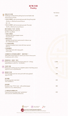## 雞/鴨/田雞 **Poultry**

|   |                                                                                                                           | Per Portion |
|---|---------------------------------------------------------------------------------------------------------------------------|-------------|
|   | 原隻北京片皮鴨<br>Traditional roasted whole peking duck served table side<br>เป็ดปักกิ่งทั้งตัวแบบดั้งเดิม                       | 1,620       |
|   | ● 香港片鴨鴨卷 with homemade pancake Hong Kong style<br>สไตล์ฮ่องกง เสิร์ฟพร้อมกับแผ่นแป้งโฮมเมด                                |             |
|   | OR หรือ                                                                                                                   |             |
|   | ● 泰式片皮鴨卷 with homemade pancake Thai style<br>สไตล์ไทย เสิร์ฟพร้อมกับแผ่นแป้งโฮมเมด                                        |             |
|   | 鴨肉可選擇以下任何一款烹理<br>Prepared with your choice of<br>เลือกวิธีการปรุงเนื้อเป็ด                                                |             |
|   | ● 黑椒汁爆鴨肉<br>Sautéed with black pepper sauce<br>ผัดศุกสพริกไทยดำ                                                           |             |
|   | ● 鴨崧生菜包<br>Sautéed minced duck meat served in lettuce cup<br>เมี่ยง เสิร์ฟพร้อมผักกาดแก้ว                                 |             |
|   | • 七彩銀芽炒鴨絲<br>Sautéed shredded duck meat with bean sprouts<br>ผัดถ้วงอก                                                    |             |
|   | •蒜香焗鴨肉<br>Deep fried duck with crispy garlic<br>ทอดกระเทียม                                                               |             |
|   | 方便顧客可以享用新鮮出爐鴨子,請提早預訂!<br>*We kindly request that you reserve your duck 2 hours prior.<br>*โปรดสั่งจองล่วงหน้า 2 ชั่วโมง   |             |
| P | 原隻燒乳豬,香港式 / 泰式<br>Barbecued suckling pig Hong Kong style (2.5 - 2.8 kg)<br>ี หมูหันสไตล์ฮ่องกง (ขนาด 2.5 – 2.8 กิโลกรัม ) | 3,200       |
| P | 乳豬件 海蜇                                                                                                                    |             |
|   | Barbecued suckling pig set on jellyfish salad in Hai Shing sauce<br>หมูหันกับยำแมงกระพรุนซอสฮอยซิน                        | 400         |
| P | 鐵板蜜汁叉燒<br>Sizzling barbecued char siew pork with honey glazed<br>หมูแดงย่างน้ำผึ้ง                                        | 260         |
|   | 港式燒鴨                                                                                                                      |             |
|   | Hong Kong style roast duck<br>เป็ดย่างสไตล์ฮ่องกง                                                                         | 340         |
|   | 烤琵琶鴨<br>Roasted crispy "Pi Pa" duck - with pickled ginger<br>เป็ดกี่ตาร์ย่างกรอบ เสิร์ฟพร้อมขิงดอง                        | 380         |
|   | 三文鴨件拼生果鴨絲沙律                                                                                                               |             |
|   | Tropical fruit and crispy duck "sandwiches"<br>้เป็ดกรอบม้วนโรล เสิร์ฟพร้อมผลไม้เขตร้อน                                   | 320         |

W Signature dish อาหารแนะนำ ltem contains pork<br>มีส่วนผสมของเนื้อหมู Please notify service attendant if you suffer from food allergies. 如您有任何食物过敏请告知服务员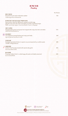## 雞/鴨/田雞 **Poultry**

|   | 燒味什錦拼盆                                                                                                                                                                                                                          | <b>Per Portion</b> |
|---|---------------------------------------------------------------------------------------------------------------------------------------------------------------------------------------------------------------------------------|--------------------|
|   | Assorted hot and cold combination platter<br>รวมมิตรเมนูรองท้องจานร้อนและเย็น                                                                                                                                                   | 720                |
|   | 豉油雞/海蜇/叉燒/桂花炒魚肚/呷醋青瓜雲耳<br>Soya chicken/ jelly fish/ BBQ pork/ sautéed scramble egg<br>with fish maw and crab meat/ marinated cucumber and black fungus<br>ไก่ซิอิ้ว/ แมงกระพรุน/ หมูแดง/ กระเพาะปลาผัดแห้ง/ ยำแตงกวาเห็ดหูหนูดำ |                    |
|   | 鵝肝片皮鴨卷<br>Roasted peking duck and goose liver topped with crispy duck skin and ebiko                                                                                                                                            | 510                |
|   | เป็ดปักกิ่งม้วนโรลพร้อมตับห่าน<br>脆皮燒腩仔                                                                                                                                                                                         |                    |
| P | Liu's signature pressed barbecued crispy pork belly<br>หมูกรอบ สุดรเฉพาะของห้องอาหารหลิว                                                                                                                                        | 360                |
|   | 玖瑰豉油雞<br>Poached marinated chicken in superior soy accompanied by a scallion paste<br>ไก่ต้มซีอิ๊ว เสิร์ฟคู่ซอสต้นหอม                                                                                                           | 280                |
|   | 椒鹽田雞腿<br>Golden fried frog legs dusted with spiced salty garlic<br>น่องกบทอดเกลือกระเทียม                                                                                                                                       | 420                |
|   | 黃金田雞腿<br>Frog legs shallow fried in a salted egg yolk paste and lightly seasoned<br>น่องกบทอดซอสไข่เค็ม                                                                                                                         | 420                |
|   |                                                                                                                                                                                                                                 |                    |



Prices are quoted in Thai Baht and subject to 10% Service Charge and 7% Government Tax.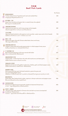### 肉食篇 Beef/ Pork /Lamb

 $\overline{\phantom{a}}$ 

|                 |                                                                                                                                                                                                                | <b>Per Portion</b> |
|-----------------|----------------------------------------------------------------------------------------------------------------------------------------------------------------------------------------------------------------|--------------------|
| P               | 鮮果拔絲黑豚肉<br>Tender sweet and sour Kurobuta pork neck and candied floss<br>คอหมูคุโรบูตะเนื้อนุ่มผัดซอสเปรี้ยวหวาน                                                                                               | 340                |
| P               | 柚子醬燒一口骨<br>Deep fried, boneless pork spare ribs in a sweet honey citrus glazed<br>ซี่โครงหมูทอดราดซอสสัมผสมน้ำผึ้ง                                                                                             | 280                |
| $\vert P \vert$ | 甜酸菠蘿芒果咕嚕肉<br>Sweet and sour pork loin with honey mango and pineapple<br>เนื้อสะโพกหมูผัดเปรี้ยวหวานกับมะม่วงอบน้ำผึ้งและสับปะรด                                                                                | 380                |
|                 | 芥末牛柳粒<br>Wok fried beef tenderloin with capsicum and cucumber, oyster sauce and a hint of wasabi<br>เนื้อสันในรวนกับพริกหยวก แตงกวา น้ำมันหอย และวาซาบิ                                                        | 740                |
| $\vert P \vert$ | 欖角一口骨<br>Baked pork spare ribs with Chinese salted black olives and honey<br>ซี่โครงหมูอบน้ำผึ้งหนำเลี้ยบ                                                                                                      | 380                |
|                 | 蜜椒紫薯安格斯牛粒<br>Sautéed Angus beef with purple sweet potato in a black pepper honey sauce<br>ผัดเนื้อแองกัสและมันม่วงหวานในซอสน้ำผึ้งพริกไทยดำ                                                                    | 620                |
| $\mathsf{P}$    | XO 醬芥蘭炒牛肉<br>Wok fried beef shavings in XO sauce served with kailan<br>  เนื้อแร่บางผัดซอสเอ็กซ์โอ เสิร์ฟพร้อมคะน้า                                                                                            | 620                |
|                 | 鐵板黑蒜野菌牛仔骨<br>Sizzling plate - tender beef short ribs with wild mushrooms and black garlic<br>เนื้อซี่โครงผัดเห็ดรวมและกระเทียมดำกระทะร้อน                                                                      | 680                |
|                 | 黑椒金菰牛仔骨煲<br>Beef short rib hot pot with golden mushrooms, shallots, garlic and black pepper sauce<br>้เนื้อซี่โครงผัดเห็ดเข็มทอง ซอสพริกไทยดำ เสิร์ฟในหม้อร้อน                                                 | 680                |
|                 | 黑椒鵝肝牛柳粒<br>Wok seared 250 days grain fed beef tenderloin, goose foie gras and<br>Liu's own black pepper sauce<br>เนื้อสันในจากวัวที่เลี้ยงด้วยหญ้า 250 วัน และตับห่าน ผัดซอสพริกไทยดำสูตรเฉพาะของห้องอาหารหลิว | 1,140              |
|                 | 鐵板黑椒羊扒<br>Sizzle plate, New Zealand lamb cutlets, capsicum, shimaji mushrooms and pepper sauce<br>ซี่โครงแกะนิวซีแลนด์กระทะร้อน ซอสพริกไทยดำ                                                                   | 980                |
| P               | 客家梅菜扣肉煲<br>Braised pork belly hot pot served with a basket of steamed Chinese buns<br>เคาหยก – หมูสามชั้นตุ๋นหม้อร้อน เสิร์ฟพร้อมหมั่นโถว                                                                      | 400                |
| P               | 東坡肉 (配饅頭)<br>"Dong Po Pork" belly stewed in Chinese wine and dark soy sauce accompanied<br>by steamed "Manto" buns<br>ตงปอหยก - หมูตงปอเคี่ยวในเหล้าจีนและซีอิ้วดำ เสิร์ฟพร้อมหมั่นโถว                         | 380                |

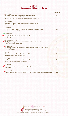## 川滬風情 Szechuan and Shanghai dishes

| 四川麻辣蝦仁                                                                                                                                   | <b>Per Portion</b> |
|------------------------------------------------------------------------------------------------------------------------------------------|--------------------|
| Wok fried prawns tossed with green asparagus, capsicum<br>and cashew nuts in Sichuan "Ma La" sauce                                       | 680                |
| กังผัดหน่อไม้ฝรั่ง พริกหยวก และเม็ดมะม่วงหิมพานต์ในซอสหม่าล่าสไตล์เสฉวน                                                                  |                    |
| 重慶辣子雞丁<br>Wok fried chicken in Sichuan sauce with spicy dried chili flakes<br>ไก่ผัดซอสหม่าล่าสไตล์เสฉวน                                 | 320                |
| 滬香賽螃蟹<br>Shanghai style stir fried crab meat and egg white with crumbled conpoy<br>้เนื้อปูผัดไข่ขาวและกังป๋วยสไตล์เซี่ยงไฮ้             | 480                |
| 陳麻婆滑豆腐<br>Minced pork braised with tofu in "Ma La" sauce<br>เต้าหู้ราดหมูสับในซอสหม่าล่า                                                 | 320                |
| 老乾媽醬爆野菌牛仔肉<br>Sautéed beef tenderloin with wild mushrooms in "Lao Gan Ma" sauce<br>้เนื้อสันในผัดเห็ดรวมในศอสเหล่ากานมา                  | 740                |
| 巴蜀麻辣雞煲<br>"Sichuan style" hot sauce with sautéed chicken, shallots, leek and Sichuan pepper<br>ไก่ผัดซอสสไตล์เสฉวน                       | 340                |
| 宮保雞丁<br>"Kung Bao" golden fried chicken with fried chili and cashew nuts<br>ไก่ผัดเม็ดมะม่วงหิมพานต์พริกแห้งซอสกงเป่า                    | 340                |
| 宮保蝦球<br>Andaman tiger prawns in fried garlic, chili, cashew nuts and Kung Pao sauce<br>ก้งลายเสื้อผัดเม็ดมะม่วงหิมพานต์พริกแห้งซอสกงเป่า | 660                |
| 四川口水雞<br>Poached free range chicken cooked with ginger, chili, sesame, coriander and spring onions<br>ไก่ต้มซอสเสฉวน                     | 380                |
| 川味水煮田雞<br>Sesame poached frog's legs with Sichuan pepper, wild mushrooms, chili and spring onions<br>น่องกบต้มซอสเสฉวน                   | 480                |

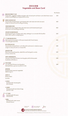#### 蔬菜豆腐篇 Vegetable and Bean Curd

|   |                                                                                                                                                                 | <b>Per Portion</b> |
|---|-----------------------------------------------------------------------------------------------------------------------------------------------------------------|--------------------|
| P | 鐵板客家煎釀茄子豆腐<br>Sizzle plate - eggplant stuffed and bake with minced pork and bean curd, black bean sauce<br>มะเขือม่วงอบยัดไส้หมูสับและเต้าหู้ซอสเต้าซีกระทะร้อน | 320                |
|   |                                                                                                                                                                 |                    |
|   | 蟹黃扒自制海苔豆腐<br>Homemade seaweed bean curd topped with crab meat and crab roe sauce<br>เต้าหู้สาหร่ายโฮมเมดโรยหน้าด้วยเนื้อปูและซอสมันปู                           | 460                |
|   | 鲜蟹肉桃膠扒時蔬                                                                                                                                                        |                    |
|   | Wilted bok choy topped with crab meat sauce and braised peach gum<br>ผักบ๊อกฉ่อยราดด้วยซอสเนื้อปูและพืชกัมตุ๋น                                                  | 460                |
|   | 原魚湯竹笙桃膠浸娃娃菜                                                                                                                                                     |                    |
|   | Braised peach gum, bamboo pith, baby cabbage in an aromatic fish bouillon<br>พืชกัม เยือไผ่ และผักหางหงส์ตุ๋นในซุปปลา                                           | 360                |
|   | XO 醬乾煸肉鬆四季豆                                                                                                                                                     |                    |
|   | Wok seared mince pork in XO sauce tossed with French beans<br>ถั่วแขกผัดหมูสับซอสเอ็กซ์โอ                                                                       | 260                |
|   | 鮑汁野菌自制豆腐                                                                                                                                                        |                    |
|   | Homemade seaweed bean curd with wild mushrooms in abalone sauce<br>เต้าหู้สาหร่ายโฮมเมดกับเห็ดรวมราดซอสเป๋าฮื้อ                                                 | 280                |
|   | 咸魚茸炒芥蘭                                                                                                                                                          |                    |
|   | Wok fried Hong Kong kale, salted fish and fried garlic crumbs<br>คะน้าส่องกงผัดปลาเค็ม                                                                          | 220                |
|   | 香港大澳啫啫通菜煲                                                                                                                                                       |                    |
|   | Hot pot of stir fried Chinese morning glory with shrimp paste<br>ผักบุ้งจีนผัดกะปิสไตล์ฮ่องกง                                                                   | 200                |
|   | 泰式炒通菜                                                                                                                                                           |                    |
|   | Liu's stir fried Chinese morning glory                                                                                                                          | 200                |
|   | ผัดผักบุ้งจีนไฟแดง สูตรเฉพาะของห้องอาหารหลิว                                                                                                                    |                    |
|   | 新鮮時蔬                                                                                                                                                            |                    |
|   | Sautéed fresh seasonal vegetable                                                                                                                                |                    |
|   | ผัดผักตามฤดูกาล                                                                                                                                                 |                    |
|   | 烹調方式                                                                                                                                                            |                    |
|   | Please select                                                                                                                                                   |                    |
|   | โปรดเลือก                                                                                                                                                       |                    |
|   | • 蒜茸炒                                                                                                                                                           |                    |
|   | Sautéed with minced garlic<br>ผัดกระเทียมสับ                                                                                                                    |                    |
|   |                                                                                                                                                                 |                    |
|   | • 金銀蛋                                                                                                                                                           |                    |
|   | Simmered with two kinds of egg<br>ตุ๋นกับไข่ 2 ชนิด                                                                                                             |                    |
|   | XO 醬炒                                                                                                                                                           |                    |
|   | Sautéed with XO sauce<br>ผัดซอสเอ็กซ์โอ                                                                                                                         |                    |
|   | • 蠔油                                                                                                                                                            |                    |
|   | Sautéed with oyster sauce<br>ผัดซอสน้ำมันหอย                                                                                                                    |                    |
|   |                                                                                                                                                                 |                    |
|   | Spicy<br>Signature dish<br>Item contains pork                                                                                                                   |                    |
|   | มีส่วนผสมของเนื้อหมู<br>รสเผ็ด<br>อาหารแนะนำ                                                                                                                    |                    |
|   | 如您有任何食物过敏请告知服务员<br>Please notify service attendant if you suffer from food allergies.                                                                           |                    |

Prices are quoted in Thai Baht and subject to 10% Service Charge and 7% Government Tax.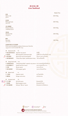### 游水海上鮮 Live Seafood

|                                                      |                                                                  |                                    | <b>Market Price</b> |
|------------------------------------------------------|------------------------------------------------------------------|------------------------------------|---------------------|
| 肉蟹<br>Stone crab<br>ปูทะเล                           |                                                                  |                                    | 250/100g            |
|                                                      |                                                                  |                                    |                     |
| 石斑魚<br><b>Black garoupa</b><br>ปลาเก๋าดำ             |                                                                  |                                    | 200/100g            |
| 波士頓龍蝦<br><b>Boston lobster</b><br>บอสตันล็อบสเตอร์   |                                                                  |                                    | 420/100g            |
| 筍殻魚<br><b>Bamboo fish</b><br>ปลาบู่ทราย              |                                                                  |                                    | 240/100g            |
| 鱸魚<br>Sea bass<br>ปลากระพง                           |                                                                  |                                    | 140/100g            |
| 活海鮮烹調方式可供選擇<br>้เมนูแนะนำจากเชฟ โปรดเลือกวิธีการปรุง | Chef recommendations, please choose your favorite.               |                                    |                     |
| Steamed with<br>蒸                                    | นึ่ง                                                             |                                    |                     |
| ● 港式清蒸魚豉油                                            | Superior soy sauce                                               | นึ่งชีอิ๊ว                         |                     |
| • 蒜茸蒸                                                | Minced garlic Cantonese style                                    | นึ่งซีอิ๊วกับกระเทียมสไตล์กวางตุ้ง |                     |
| • 泰式酸辣                                               | Spicy lime and minced garlic                                     | นึ่งมะนาวและกระเทียมสับ            |                     |
| ● 潮式酸梅咸菜                                             | "Chao Zhou Style" pickled plum soup                              | นึ่งบ๊วยสไตล์แต้จิ๋ว               |                     |
| Deep fried with<br>炸                                 | ทอด                                                              |                                    |                     |
| • 油浸配魚豉油                                             | "Hong Kong Style" superior soy sauce ทอดราดซอสเข้มข้นสไตล์ฮ่องกง |                                    |                     |
| •杭州甜酸松子                                              | Sweet and sour sauce                                             | ทอดราดซอสเปรี้ยวหวาน               |                     |
| ● 紅燒                                                 | <b>Brown sauce</b>                                               | ทอดราดน้ำแดง                       |                     |
| ● 港式避風塘                                              | Chili pepper garlic                                              | ทอดกระเทียมพริกไทย                 |                     |
| <b>Baked with</b><br>焗                               | อบ                                                               |                                    |                     |
| • 上湯焗                                                | Superior stock                                                   | อบน้ำซุปเข้มข้น                    |                     |
| ● 薑蔥焗                                                | Ginger and onion                                                 | อบขิงและหอม                        |                     |
| Sautéed with<br>炒                                    | ผัด                                                              |                                    |                     |
| • XO 醬炒                                              | XO chili sauce                                                   | ผัดซอสเอ็กซ์โอ                     |                     |
| •黑椒醬                                                 | <b>Black pepper sauce</b>                                        | ผัดซอสพริกไทยดำ                    |                     |
| ● 四川麻辣酱                                              | Sichuan "Ma La" sauce                                            | ผัดซอสหม่าล่าสไตล์เสฉวน            |                     |

)

 $\bigcirc$ 

⊅



Spicy<br>รสเผ็ด

Please notify service attendant if you suffer from food allergies. 如您有任何食物过敏请告知服务员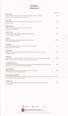### 健康素食 Vegetarian

|                                                                                                                                                                     | <b>Per Portion</b> |
|---------------------------------------------------------------------------------------------------------------------------------------------------------------------|--------------------|
| 琥珀六和清素<br>Sautéed lotus root, sugar snaps, black fungus, ginko nuts and walnuts<br>ผัดรากบัว ถั่วหวาน เห็ดหูหนูดำ แปะก๊วย และวอลนัท                                 | 360                |
| 香菰上素羹<br>Wild and shitake mushrooms with a julienne of carrots in thick sauce<br>ซุปเห็ดรวมนำแดง                                                                    | 240                |
| 椒鹽豆腐併金菰<br>Deep fried crispy bean curd with enoki mushroom<br>เต้าหู้ทอดกรอบกับเห็ดเข็มทอง                                                                          | 220                |
| 五色素丁炒飯<br>Fried rice with seasonal diced vegetable and pine nuts<br>ข้าวผัดผักตามฤดูกาลและเมล็ดสน                                                                   | 260                |
| 鳥語花香<br>Wok fried shrimps, green asparagus and Chinese yam<br>กุ้งเจผัดกับหน่อไม้ฝรั่งและฮวยซัว                                                                     | 320                |
| 燒汁脆素鱔<br>Crisp deep-fried mushrooms in barbecue sauce with sesame<br>เห็ดทอดกรอบในซอสบาร์บีคิวโรยงา                                                                 | 260                |
| 素什燴炒河粉<br>Wok fried rice noodles covered with mixed mushrooms and Hong Kong k ale<br>ราดหน้าฮ่องกงผักรวม                                                            | 280                |
| 雀巢素什錦<br>Sautéed garden vegetables with shitake and cashew nuts in a spring roll pastry basket<br>ผัดผักรวมพร้อมเห็ดหอม เม็ดมะม่วงหิมพานต์ เสิร์ฟในกระทงแป้งทอดกรอบ | 280                |
| 黑松露野菌蜜豆鮮淮山<br>Sautéed wild mushroom, sugar snaps, asparagus and Chinese yam in black truffle sauce<br>ผัดเห็ดรวม ถั่วหวาน หน่อไม้ฝรั่ง และฮวยซั่วในซอสทรัฟเฟิล      | 320                |
| 脆金菰野菌扒菠菜<br>Wilted Chinese spinach and wild mushrooms with crispy enoki<br>ปวยเล้งผัดเห็ดรวม และเห็ดเข็มทองทอดกรอบ                                                  | 260                |
| 蟲草花鮮椰青肉枸杞野菌湯<br>Double boiled wild mushroom soup with codycep flowers, goji berries and white coconut meat<br>้เห็ดรวมตุ๋นกับดอกถังเช่า เก๋ากี้ และเนื้อมะพร้าว     | 240                |
| 竹笙羅漢上素<br>"Luo han zhai" bamboo pith, white cabbage, bluck fungus braised with bok choy<br>ผักรวมตุ๋นเยือไผ่                                                        | 240                |
|                                                                                                                                                                     |                    |

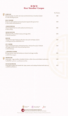## 飯/麵/粥 Rice/ Noodles/ Congee

Y

L

|                                                                                                                                                             | <b>Per Portion</b> |
|-------------------------------------------------------------------------------------------------------------------------------------------------------------|--------------------|
| 紅鱘蒸米糕<br>Steamed sticky rice with crab meat and dried shrimp in bamboo basket<br>ข้าวเหนียวนึ่งเนื้อปูและกุ้งแห้ง                                           | 480                |
| 墨魚汁海皇燴飯<br>Fried rice with seafood and squid paste topped with goose liver<br>ข้าวผัดทะเลดีปลาหมึกพร้อมตับห่าน                                              | 520                |
| 石窩魚籽海鲜炒飯<br>Stored baked fried rice with seafood and shrimp roe<br>ข้าวผัดทะเลไข่กุ้ง                                                                       | 480                |
| 瑤柱蛋白魚籽炒飯<br>Wok fried with crumbled conpoy and egg white<br>ข้าวผัดกังป่วยและไข่ขาว                                                                         | 320                |
| 楊洲炒飯<br>"Yang Chow style" fried rice with char siew pork and tiger prawns<br>ข้าวผัดหมูแดงและกุ้งลายเสือสไตล์หยางโจว                                        | 360                |
| 原汁牛腩湯麵<br>Twice cooked beef stock with beef tendons, Chinese five spice, finished<br>with egg noodles, bok choy and spring onions<br>บะหมี่น้ำเนื้อเอ็นตุ๋น | 360                |
| 上湯鮮蝦雲吞叉燒湯麵<br>Shrimp wonton soup with barbecue red pork and egg noodles<br>บะหมี่น้ำเกี๊ยวกุ้ง หมูแดง                                                       | 380                |
| 鐵板雞絲炒麵<br>Sizzle plate - egg noodles, shredded chicken, white chives and shitake mushrooms<br>โกยซีหมี่ไก่ฉีก กุยช่ายขาว และเห็ดหอมกระทะร้อน                | 320                |
| 港式豉油皇海鮮炒麵<br>Fried egg noodles with beetle fish, tiger prawns and scallops finished with dark soy<br>บะหมี่ผัดทะเลสไตล์ฮ่องกง                               | 520                |



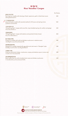### 飯/麵/粥 Rice/ Noodles/ Congee

| 豉椒牛肉炒河粉                                                                                                                                          | Per Portion |
|--------------------------------------------------------------------------------------------------------------------------------------------------|-------------|
| Pan fried rice noodles with shavings of beef, capsicums, garlic in black bean sauce<br>เส้นใหญ่เนื้อผัดซอสถั่วดำ                                 | 400         |
| XO 醬海皇炒粉絲<br>Spicy fried glass noodle with assorted seafood in XO sauce and spring onions<br>วุ้นเส้นผัดทะเลซอสเอ็กซ์โอ                          | 560         |
| 生滾白雪魚片粥<br>"Hong Kong Style" congee with snow fish, crisp shredded spring roll, scallion and ginger<br>โจ๊กปลาหิมะสไตล์ส่องกง                    | 220         |
| 原隻鲍魚雞粥<br>"Hong Kong Style" congee with abalone and poached chicken breast<br>โจ๊กอกไก่เป๋าฮื้อสไตล์ฮ่องกง                                       | 460         |
| 鮑汁野菌炆伊麵<br>Fried E-Fu noodles with wild and shiitake mushrooms in abalone sauce<br>ผัดหมี่อีฟูเห็ดรวมและเห็ดหอมในซอสเป๋าฮื้อ                     | 280         |
| 滬香賽螃蟹燴伊麵<br>Stewed E-Fu noodles topped with egg white and crab meat in "Shanghai" style<br>ผัดหมี่อีฟู โรยหน้าด้วยไข่ขาวและเนื้อปูสไตล์เซี่ยงไฮ้ | 380         |
| 石窩鮑汁炒飯<br>Fried rice with diced chicken, mushrooms, conpoy and abalone sauce in stone nest<br>ข้าวผัดไก่ เห็ด กังป๋วยซอสเป๋าสื่อ                 | 280         |
| 黑松露鴨胸野菌炒飯<br>Black truffle fried rice with shredded duck meat and shijtake mushrooms<br>ข้าวผัดเนื้อเป็ดฉีกและเห็ดหอมในซอสทรัฟเฟิล               | 320         |

 $\frac{1}{2}$ 

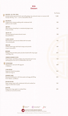### 甜品 **Dessert**

|   |                                                                                                                                                                    | <b>Per Portion</b> |
|---|--------------------------------------------------------------------------------------------------------------------------------------------------------------------|--------------------|
| y | 極品燕窝-杏汁/椰汁/銀杏<br>Double boiled supreme bird's nest with ginkgo nuts, almond cream or coconut milk<br>รังนกตุ๋น เลือกจับคู่ 1 อย่าง – แปะก๊วย อัลมอนด์ครีม หรือกะทิ | 1,080              |
| y | 香芒凍布甸<br>Chilled fresh mango pudding with condensed milk<br>พุดดิ้งมะม่วงสดราดนมข้น                                                                                | 180                |
|   | 薑茶湯丸<br>Black sesame dumpling in a sweetened ginger soup<br>บ้าลอยงาดำน้ำขิง                                                                                       | 160                |
|   | 蛋白杏仁茶<br>Chinese steamed sweet almond cream<br>อัลมอนด์ครีมไข่ขาว                                                                                                  | 180                |
|   | 什果杏仁凍豆腐<br>Almond bean curd served chilled with fruit salad<br>เต้าฮวยเย็นฟรุตสลัด                                                                                 | 160                |
|   | 楊枝甘露<br>Chilled sweet sago with fresh mango and pomelo<br>สาคูมะม่วงสดและส้มโอ                                                                                     | 180                |
|   | 棗茸窩餅<br>Shallow fried red date paste pancake dusted with icing sugar<br>วอแป๋งไส้พุทราจีน                                                                          | 220                |
|   | 焦糖銀耳紅棗桃膠 (凍/熱)<br>Snow fungus, red dates, gingko nuts and peach gum soup<br>ซุปเห็ดหูหนู พุทราจีน แปะก๊วย และพีซกัมเชื่อม (ร้อน/ เย็น)                             | 160                |
| W | 官燕鮮奶蛋撻<br>Baked bird's nest and milk egg tart<br>ทาร์ตไข่รังนก                                                                                                     | 300                |
|   | 什錦水果拼盆<br>Seasonal mixed fruit platter<br>้ผลไม้รวมตามฤดูกาล                                                                                                       | 260                |
|   | 蛋黃蓮蓉大蟠桃<br>Steamed birthday bun with lotus paste and egg yolk filling<br>สิวท้อ ไส้เม็ดบัว และไส้ไข่แดง                                                            | 220                |
|   | 雪花香芒西米露<br>Sago mango cream with condensed milk and crushed ice<br>สาคูมะม่วงเกล็ดน้ำแข็งราดนมข้น                                                                  | 160                |
|   | 拔絲萍果<br>Deep fried crispy apple in candied floss<br>แอปเปิ้ลทอดกรอบโรยด้วยสายใหม                                                                                   | 200                |

Signature dish อาหารแนะนำ

Q

Prices are quoted in Thai Baht and subject to 10% Service Charge and 7% Government Tax.

ltem contains pork<br>มีส่วนผสมของเนื้อหมู